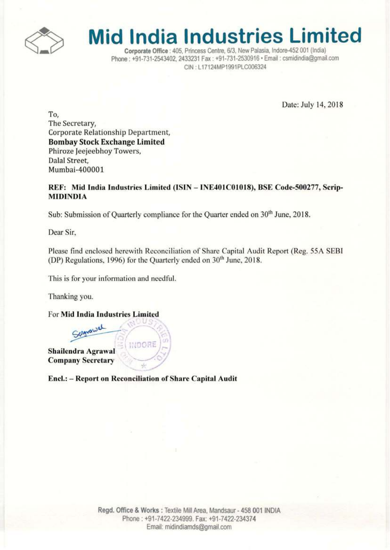

# **Mid India Industries Limited**

Corporate Office : 405, Princess Centre, 6/3, New Palasia, Indore-452 001 (India) Phone: +91-731-2543402, 2433231 Fax: +91-731-2530916 · Email: csmidindia@gmail.com CIN: L17124MP1991PLC006324

Date: July 14, 2018

To. The Secretary, Corporate Relationship Department, **Bombay Stock Exchange Limited** Phiroze Jeejeebhoy Towers, Dalal Street, Mumbai-400001

## REF: Mid India Industries Limited (ISIN - INE401C01018), BSE Code-500277, Scrip-**MIDINDIA**

Sub: Submission of Quarterly compliance for the Quarter ended on 30<sup>th</sup> June, 2018.

Dear Sir,

Please find enclosed herewith Reconciliation of Share Capital Audit Report (Reg. 55A SEBI (DP) Regulations, 1996) for the Quarterly ended on 30<sup>th</sup> June, 2018.

This is for your information and needful.

Thanking you.

For Mid India Industries Limited

Scanawal INDORE Shailendra Agrawal **Company Secretary** 

Encl.: - Report on Reconciliation of Share Capital Audit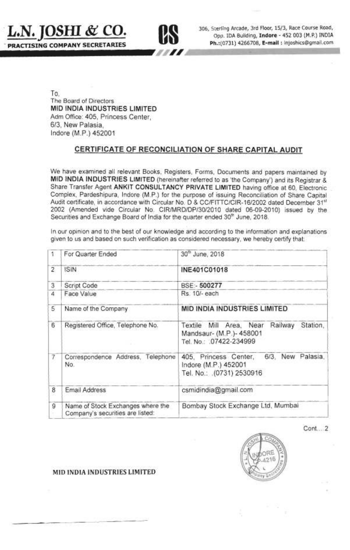



**us** 306, Sterling Arcade, 3rd Floor, *15/3,* Race Course Road,

To, The Board of Directors **MID INDIA INDUSTRIES LIMITED**  Adm Office: 405, Princess Center, *6/3,* New Palasia, Indore (M .P.) 452001

# **CERTIFICATE OF RECONCILIATION OF SHARE CAPITAL AUDIT**

We have examined all relevant Books, Registers, Forms, Documents and papers maintained by **MID INDIA INDUSTRIES LIMITED** (hereinafter referred to as 'the Company') and its Registrar & Share Transfer Agent **ANKIT CONSULTANCY PRIVATE LIMITED** having office at 60, Electronic Complex, Pardeshipura, Indore (M.P.) for the purpose of issuing Reconciliation of Share Capital Audit certificate, in accordance with Circular No. D & CC/FITTC/CIR-16/2002 dated December 31<sup>st</sup> 2002 (Amended vide Circular No. CIR/MRD/DP/30/2010 dated 06-09-2010) issued by the Securities and Exchange Board of India for the quarter ended 30<sup>th</sup> June, 2018.

In our opinion and to the best of our knowledge and according to the information and explanations given to us and based on such verification as considered necessary, we hereby certify that:

| Ť.             | For Quarter Ended                                                     | 30 <sup>th</sup> June, 2018                                                                           |  |
|----------------|-----------------------------------------------------------------------|-------------------------------------------------------------------------------------------------------|--|
| $\overline{2}$ | <b>ISIN</b>                                                           | INE401C01018                                                                                          |  |
| 3              | Script Code                                                           | BSE:- 500277                                                                                          |  |
| 4              | Face Value                                                            | Rs. 10/- each                                                                                         |  |
| 5              | Name of the Company                                                   | MID INDIA INDUSTRIES LIMITED                                                                          |  |
| 6              | Registered Office, Telephone No.                                      | Textile Mill Area, Near<br>Railway<br>Station,<br>Mandsaur- (M.P.)- 458001<br>Tel. No.: .07422-234999 |  |
| 7              | Correspondence Address, Telephone<br>No.                              | 6/3, New Palasia,<br>405, Princess Center,<br>Indore (M.P.) 452001<br>Tel. No.: .(0731) 2530916       |  |
| 8              | Email Address                                                         | csmidindia@gmail.com                                                                                  |  |
| 9              | Name of Stock Exchanges where the<br>Company's securities are listed: | Bombay Stock Exchange Ltd, Mumbai                                                                     |  |

Cont ... 2



#### **MID INDIA INDUSTRIES LIMITED**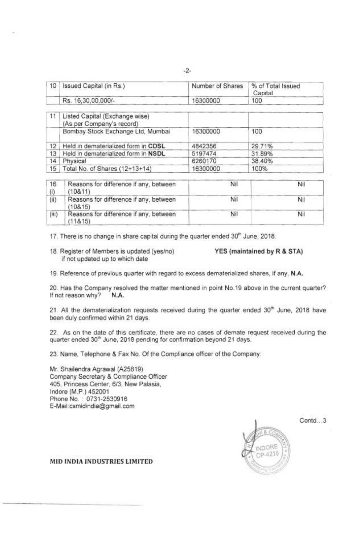| 10 | Issued Capital (in Rs.)                                     | Number of Shares | % of Total Issued<br>Capital |
|----|-------------------------------------------------------------|------------------|------------------------------|
|    | Rs. 16,30,00,000/-                                          | 6300000          | 100                          |
|    | Listed Capital (Exchange wise)<br>(As per Company's record) |                  |                              |
|    | Bombay Stock Exchange Ltd, Mumbai                           | 6300000          | 100                          |

| 16           | Reasons for difference if any, between | Nil      | Nil    |
|--------------|----------------------------------------|----------|--------|
|              | 15 Total No. of Shares (12+13+14)      | 16300000 | 100%   |
| 14.1         | Physical                               | 6260170  | 38.40% |
| $13^{\circ}$ | Held in dematerialized form in NSDL    | 5197474  | 31.89% |
|              |                                        |          |        |

| 10.   | reasons for difference if any, between<br>(10811)  | TVH. | NIL |
|-------|----------------------------------------------------|------|-----|
| (ii)  | Reasons for difference if any, between<br>(108.15) | Nii. | Νıl |
| (iii) | Reasons for difference if any, between<br>(11815)  | Nil  | Nil |

 $17$ . There is no change in share capital during the quarter ended  $30<sup>th</sup>$  June, 2018.

12 Held in dematerialized form in CDSL 4842356 29.71%

18. Register of Members is updated (yes/no) YES (maintained by R & STA) if not updated up to which date

19. Reference of previous quarter with regard to excess dematerialized shares, if any, N.A.

20. Has the Company resolved the matter mentioned in point No.19 above in the current quarter? If not reason why? N.A.

21. All the dematerialization requests received during the quarter ended 30<sup>th</sup> June, 2018 have been duly confirmed within 21 days.

22. As on the date of this certificate, there are no cases of demate request received during the quarter ended 30<sup>th</sup> June, 2018 pending for confirmation beyond 21 days.

23. Name, Telephone & Fax No. Of the Compliance officer of the Company:

Mr. Shailendra Agrawal (A25819) Company Secretary & Compliance Officer 405, Princess Center, 6/3, New Palasia, Indore (M.P.) 452001 Phone No. : 0731-2530916 E-Mail: csmidindia@gmail .com

> INDORE  $0.4916$

Contd ... 3

MID INDIA INDUSTRIES LIMITED